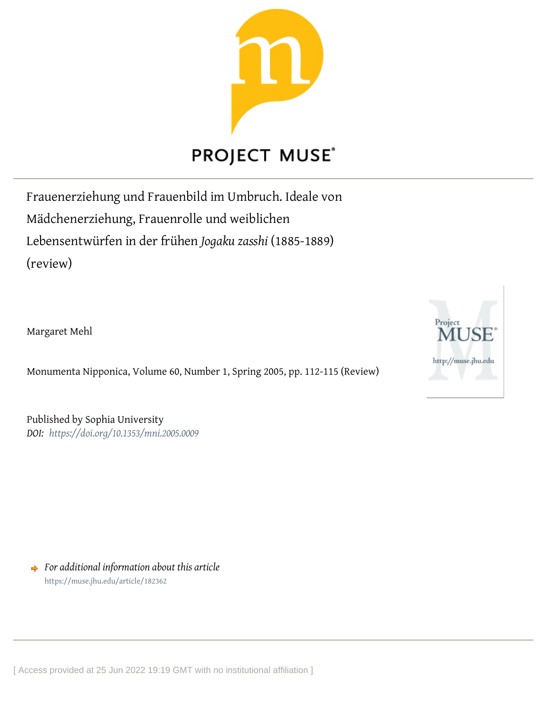

## **PROJECT MUSE®**

Frauenerziehung und Frauenbild im Umbruch. Ideale von Mädchenerziehung, Frauenrolle und weiblichen Lebensentwürfen in der frühen *Jogaku zasshi* (1885-1889) (review)

Margaret Mehl

Monumenta Nipponica, Volume 60, Number 1, Spring 2005, pp. 112-115 (Review)

Published by Sophia University *DOI: <https://doi.org/10.1353/mni.2005.0009>*

*For additional information about this article* <https://muse.jhu.edu/article/182362>



[ Access provided at 25 Jun 2022 19:19 GMT with no institutional affiliation ]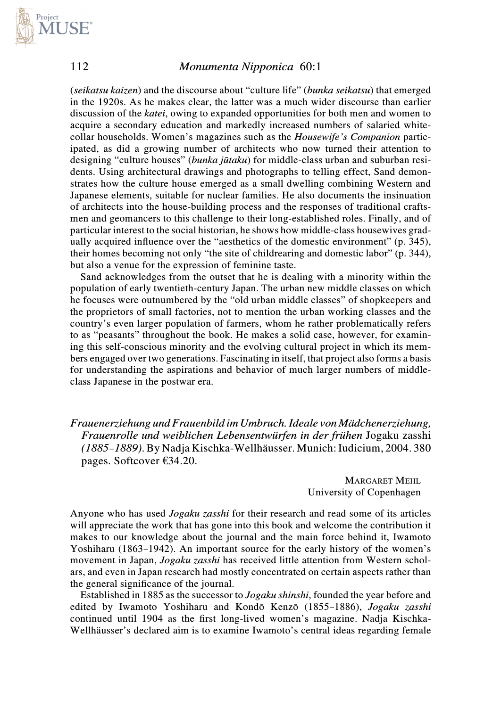

## 112 Monumenta Nipponica 60:1

(seikatsu kaizen) and the discourse about "culture life" (bunka seikatsu) that emerged in the 1920s. As he makes clear, the latter was a much wider discourse than earlier discussion of the *katei*, owing to expanded opportunities for both men and women to acquire a secondary education and markedly increased numbers of salaried whitecollar households. Women's magazines such as the Housewife's Companion participated, as did a growing number of architects who now turned their attention to designing "culture houses" (bunka jūtaku) for middle-class urban and suburban residents. Using architectural drawings and photographs to telling effect, Sand demonstrates how the culture house emerged as a small dwelling combining Western and Japanese elements, suitable for nuclear families. He also documents the insinuation of architects into the house-building process and the responses of traditional craftsmen and geomancers to this challenge to their long-established roles. Finally, and of particular interest to the social historian, he shows how middle-class housewives gradually acquired influence over the "aesthetics of the domestic environment" (p. 345), their homes becoming not only "the site of childrearing and domestic labor" (p. 344), but also a venue for the expression of feminine taste.

Sand acknowledges from the outset that he is dealing with a minority within the population of early twentieth-century Japan. The urban new middle classes on which he focuses were outnumbered by the "old urban middle classes" of shopkeepers and the proprietors of small factories, not to mention the urban working classes and the country's even larger population of farmers, whom he rather problematically refers to as "peasants" throughout the book. He makes a solid case, however, for examining this self-conscious minority and the evolving cultural project in which its members engaged over two generations. Fascinating in itself, that project also forms a basis for understanding the aspirations and behavior of much larger numbers of middleclass Japanese in the postwar era.

Frauenerziehung und Frauenbild im Umbruch. Ideale von Mädchenerziehung, Frauenrolle und weiblichen Lebensentwürfen in der frühen Jogaku zasshi (1885–1889). By Nadja Kischka-Wellhäusser. Munich: Iudicium, 2004. 380 pages. Softcover €34.20.

> MARGARET MEHL University of Copenhagen

Anyone who has used *Jogaku zasshi* for their research and read some of its articles will appreciate the work that has gone into this book and welcome the contribution it makes to our knowledge about the journal and the main force behind it, Iwamoto Yoshiharu (1863–1942). An important source for the early history of the women's movement in Japan, *Jogaku zasshi* has received little attention from Western scholars, and even in Japan research had mostly concentrated on certain aspects rather than the general significance of the journal.

Established in 1885 as the successor to *Jogaku shinshi*, founded the year before and edited by Iwamoto Yoshiharu and Kondō Kenzō (1855–1886), Jogaku zasshi continued until 1904 as the first long-lived women's magazine. Nadja Kischka-Wellhäusser's declared aim is to examine Iwamoto's central ideas regarding female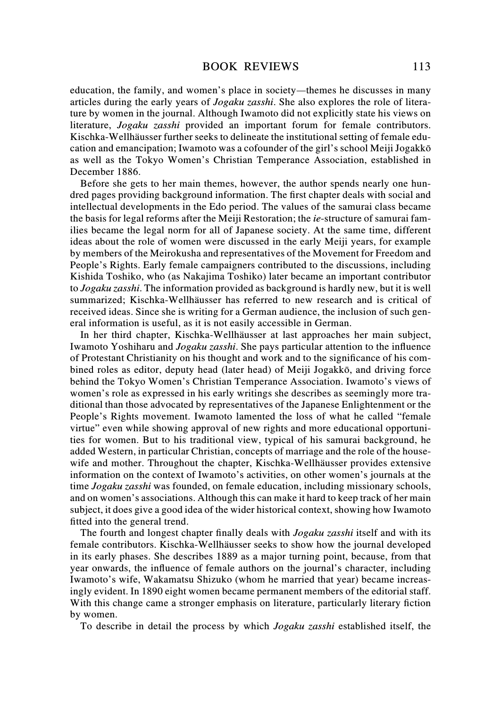education, the family, and women's place in society—themes he discusses in many articles during the early years of Jogaku zasshi. She also explores the role of literature by women in the journal. Although Iwamoto did not explicitly state his views on literature, *Jogaku zasshi* provided an important forum for female contributors. Kischka-Wellhäusser further seeks to delineate the institutional setting of female education and emancipation; Iwamoto was a cofounder of the girl's school Meiji Jogakkô as well as the Tokyo Women's Christian Temperance Association, established in December 1886.

Before she gets to her main themes, however, the author spends nearly one hundred pages providing background information. The first chapter deals with social and intellectual developments in the Edo period. The values of the samurai class became the basis for legal reforms after the Meiji Restoration; the *ie*-structure of samurai families became the legal norm for all of Japanese society. At the same time, different ideas about the role of women were discussed in the early Meiji years, for example by members of the Meirokusha and representatives of the Movement for Freedom and People's Rights. Early female campaigners contributed to the discussions, including Kishida Toshiko, who (as Nakajima Toshiko) later became an important contributor to *Jogaku zasshi*. The information provided as background is hardly new, but it is well summarized; Kischka-Wellhäusser has referred to new research and is critical of received ideas. Since she is writing for a German audience, the inclusion of such general information is useful, as it is not easily accessible in German.

In her third chapter, Kischka-Wellhäusser at last approaches her main subject, Iwamoto Yoshiharu and Jogaku zasshi. She pays particular attention to the influence of Protestant Christianity on his thought and work and to the significance of his combined roles as editor, deputy head (later head) of Meiji Jogakkô, and driving force behind the Tokyo Women's Christian Temperance Association. Iwamoto's views of women's role as expressed in his early writings she describes as seemingly more traditional than those advocated by representatives of the Japanese Enlightenment or the People's Rights movement. Iwamoto lamented the loss of what he called "female virtue" even while showing approval of new rights and more educational opportunities for women. But to his traditional view, typical of his samurai background, he added Western, in particular Christian, concepts of marriage and the role of the housewife and mother. Throughout the chapter, Kischka-Wellhäusser provides extensive information on the context of Iwamoto's activities, on other women's journals at the time Jogaku zasshi was founded, on female education, including missionary schools, and on women's associations. Although this can make it hard to keep track of her main subject, it does give a good idea of the wider historical context, showing how Iwamoto fitted into the general trend.

The fourth and longest chapter finally deals with *Jogaku zasshi* itself and with its female contributors. Kischka-Wellhäusser seeks to show how the journal developed in its early phases. She describes 1889 as a major turning point, because, from that year onwards, the influence of female authors on the journal's character, including Iwamoto's wife, Wakamatsu Shizuko (whom he married that year) became increasingly evident. In 1890 eight women became permanent members of the editorial staff. With this change came a stronger emphasis on literature, particularly literary fiction by women.

To describe in detail the process by which Jogaku zasshi established itself, the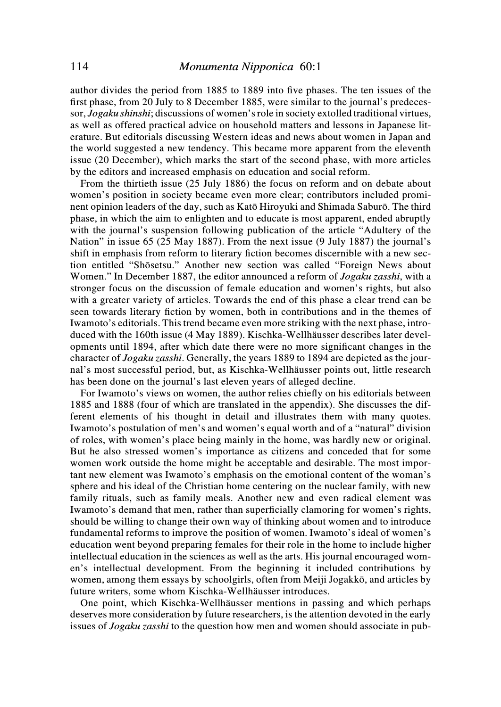author divides the period from 1885 to 1889 into five phases. The ten issues of the first phase, from 20 July to 8 December 1885, were similar to the journal's predecessor, Jogaku shinshi; discussions of women's role in society extolled traditional virtues, as well as offered practical advice on household matters and lessons in Japanese literature. But editorials discussing Western ideas and news about women in Japan and the world suggested a new tendency. This became more apparent from the eleventh issue (20 December), which marks the start of the second phase, with more articles by the editors and increased emphasis on education and social reform.

From the thirtieth issue (25 July 1886) the focus on reform and on debate about women's position in society became even more clear; contributors included prominent opinion leaders of the day, such as Katô Hiroyuki and Shimada Saburô. The third phase, in which the aim to enlighten and to educate is most apparent, ended abruptly with the journal's suspension following publication of the article "Adultery of the Nation" in issue 65 (25 May 1887). From the next issue (9 July 1887) the journal's shift in emphasis from reform to literary fiction becomes discernible with a new section entitled "Shôsetsu." Another new section was called "Foreign News about Women." In December 1887, the editor announced a reform of Jogaku zasshi, with a stronger focus on the discussion of female education and women's rights, but also with a greater variety of articles. Towards the end of this phase a clear trend can be seen towards literary fiction by women, both in contributions and in the themes of Iwamoto's editorials. This trend became even more striking with the next phase, introduced with the 160th issue (4 May 1889). Kischka-Wellhäusser describes later developments until 1894, after which date there were no more significant changes in the character of *Jogaku zasshi*. Generally, the years 1889 to 1894 are depicted as the journal's most successful period, but, as Kischka-Wellhäusser points out, little research has been done on the journal's last eleven years of alleged decline.

For Iwamoto's views on women, the author relies chiefly on his editorials between 1885 and 1888 (four of which are translated in the appendix). She discusses the different elements of his thought in detail and illustrates them with many quotes. Iwamoto's postulation of men's and women's equal worth and of a "natural" division of roles, with women's place being mainly in the home, was hardly new or original. But he also stressed women's importance as citizens and conceded that for some women work outside the home might be acceptable and desirable. The most important new element was Iwamoto's emphasis on the emotional content of the woman's sphere and his ideal of the Christian home centering on the nuclear family, with new family rituals, such as family meals. Another new and even radical element was Iwamoto's demand that men, rather than superficially clamoring for women's rights, should be willing to change their own way of thinking about women and to introduce fundamental reforms to improve the position of women. Iwamoto's ideal of women's education went beyond preparing females for their role in the home to include higher intellectual education in the sciences as well as the arts. His journal encouraged women's intellectual development. From the beginning it included contributions by women, among them essays by schoolgirls, often from Meiji Jogakkô, and articles by future writers, some whom Kischka-Wellhäusser introduces.

One point, which Kischka-Wellhäusser mentions in passing and which perhaps deserves more consideration by future researchers, is the attention devoted in the early issues of *Jogaku zasshi* to the question how men and women should associate in pub